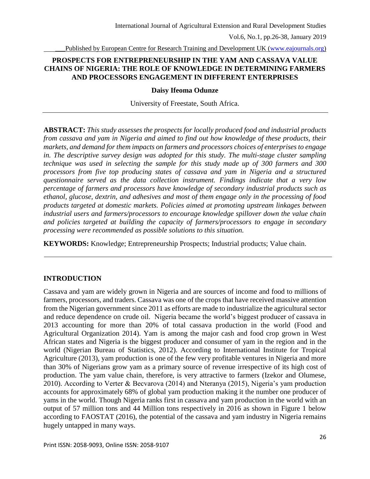Published by European Centre for Research Training and Development UK [\(www.eajournals.org\)](http://www.eajournals.org/)

## **PROSPECTS FOR ENTREPRENEURSHIP IN THE YAM AND CASSAVA VALUE CHAINS OF NIGERIA: THE ROLE OF KNOWLEDGE IN DETERMINING FARMERS AND PROCESSORS ENGAGEMENT IN DIFFERENT ENTERPRISES**

### **Daisy Ifeoma Odunze**

University of Freestate, South Africa.

**ABSTRACT:** *This study assesses the prospects for locally produced food and industrial products from cassava and yam in Nigeria and aimed to find out how knowledge of these products, their markets, and demand for them impacts on farmers and processors choices of enterprises to engage in. The descriptive survey design was adopted for this study. The multi-stage cluster sampling technique was used in selecting the sample for this study made up of 300 farmers and 300 processors from five top producing states of cassava and yam in Nigeria and a structured questionnaire served as the data collection instrument. Findings indicate that a very low percentage of farmers and processors have knowledge of secondary industrial products such as ethanol, glucose, dextrin, and adhesives and most of them engage only in the processing of food products targeted at domestic markets. Policies aimed at promoting upstream linkages between industrial users and farmers/processors to encourage knowledge spillover down the value chain and policies targeted at building the capacity of farmers/processors to engage in secondary processing were recommended as possible solutions to this situation.* 

**KEYWORDS:** Knowledge; Entrepreneurship Prospects; Industrial products; Value chain.

# **INTRODUCTION**

Cassava and yam are widely grown in Nigeria and are sources of income and food to millions of farmers, processors, and traders. Cassava was one of the crops that have received massive attention from the Nigerian government since 2011 as efforts are made to industrialize the agricultural sector and reduce dependence on crude oil. Nigeria became the world's biggest producer of cassava in 2013 accounting for more than 20% of total cassava production in the world (Food and Agricultural Organization 2014). Yam is among the major cash and food crop grown in West African states and Nigeria is the biggest producer and consumer of yam in the region and in the world (Nigerian Bureau of Statistics, 2012). According to International Institute for Tropical Agriculture (2013), yam production is one of the few very profitable ventures in Nigeria and more than 30% of Nigerians grow yam as a primary source of revenue irrespective of its high cost of production. The yam value chain, therefore, is very attractive to farmers (Izekor and Olumese, 2010). According to Verter & Becvarova (2014) and Nteranya (2015), Nigeria's yam production accounts for approximately 68% of global yam production making it the number one producer of yams in the world. Though Nigeria ranks first in cassava and yam production in the world with an output of 57 million tons and 44 Million tons respectively in 2016 as shown in Figure 1 below according to FAOSTAT (2016), the potential of the cassava and yam industry in Nigeria remains hugely untapped in many ways.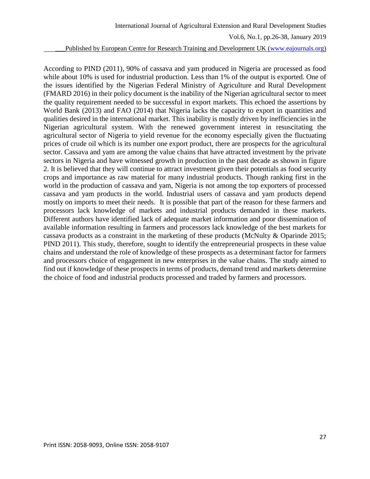\_\_\_Published by European Centre for Research Training and Development UK [\(www.eajournals.org\)](http://www.eajournals.org/)

According to PIND (2011), 90% of cassava and yam produced in Nigeria are processed as food while about 10% is used for industrial production. Less than 1% of the output is exported. One of the issues identified by the Nigerian Federal Ministry of Agriculture and Rural Development (FMARD 2016) in their policy document is the inability of the Nigerian agricultural sector to meet the quality requirement needed to be successful in export markets. This echoed the assertions by World Bank (2013) and FAO (2014) that Nigeria lacks the capacity to export in quantities and qualities desired in the international market. This inability is mostly driven by inefficiencies in the Nigerian agricultural system. With the renewed government interest in resuscitating the agricultural sector of Nigeria to yield revenue for the economy especially given the fluctuating prices of crude oil which is its number one export product, there are prospects for the agricultural sector. Cassava and yam are among the value chains that have attracted investment by the private sectors in Nigeria and have witnessed growth in production in the past decade as shown in figure 2. It is believed that they will continue to attract investment given their potentials as food security crops and importance as raw material for many industrial products. Though ranking first in the world in the production of cassava and yam, Nigeria is not among the top exporters of processed cassava and yam products in the world. Industrial users of cassava and yam products depend mostly on imports to meet their needs. It is possible that part of the reason for these farmers and processors lack knowledge of markets and industrial products demanded in these markets. Different authors have identified lack of adequate market information and poor dissemination of available information resulting in farmers and processors lack knowledge of the best markets for cassava products as a constraint in the marketing of these products (McNulty & Oparinde 2015; PIND 2011). This study, therefore, sought to identify the entrepreneurial prospects in these value chains and understand the role of knowledge of these prospects as a determinant factor for farmers and processors choice of engagement in new enterprises in the value chains. The study aimed to find out if knowledge of these prospects in terms of products, demand trend and markets determine the choice of food and industrial products processed and traded by farmers and processors.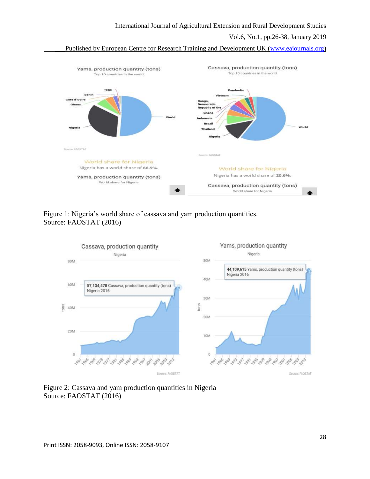#### International Journal of Agricultural Extension and Rural Development Studies

#### Vol.6, No.1, pp.26-38, January 2019

Published by European Centre for Research Training and Development UK [\(www.eajournals.org\)](http://www.eajournals.org/)



## Figure 1: Nigeria's world share of cassava and yam production quantities. Source: FAOSTAT (2016)



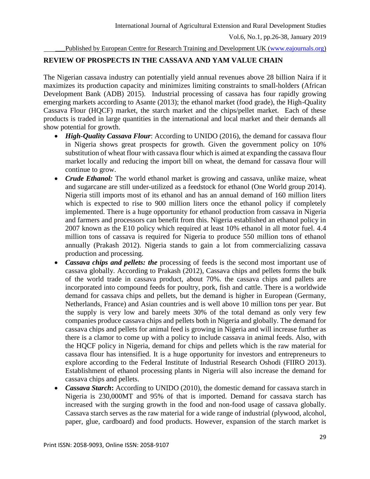Published by European Centre for Research Training and Development UK [\(www.eajournals.org\)](http://www.eajournals.org/)

# **REVIEW OF PROSPECTS IN THE CASSAVA AND YAM VALUE CHAIN**

The Nigerian cassava industry can potentially yield annual revenues above 28 billion Naira if it maximizes its production capacity and minimizes limiting constraints to small-holders (African Development Bank (ADB) 2015). Industrial processing of cassava has four rapidly growing emerging markets according to Asante (2013); the ethanol market (food grade), the High-Quality Cassava Flour (HQCF) market, the starch market and the chips/pellet market. Each of these products is traded in large quantities in the international and local market and their demands all show potential for growth.

- *High-Quality Cassava Flour*: According to UNIDO (2016), the demand for cassava flour in Nigeria shows great prospects for growth. Given the government policy on 10% substitution of wheat flour with cassava flour which is aimed at expanding the cassava flour market locally and reducing the import bill on wheat, the demand for cassava flour will continue to grow.
- *Crude Ethanol:* The world ethanol market is growing and cassava, unlike maize, wheat and sugarcane are still under-utilized as a feedstock for ethanol (One World group 2014). Nigeria still imports most of its ethanol and has an annual demand of 160 million liters which is expected to rise to 900 million liters once the ethanol policy if completely implemented. There is a huge opportunity for ethanol production from cassava in Nigeria and farmers and processors can benefit from this. Nigeria established an ethanol policy in 2007 known as the E10 policy which required at least 10% ethanol in all motor fuel. 4.4 million tons of cassava is required for Nigeria to produce 550 million tons of ethanol annually (Prakash 2012). Nigeria stands to gain a lot from commercializing cassava production and processing.
- *Cassava chips and pellets: the* processing of feeds is the second most important use of cassava globally. According to Prakash (2012), Cassava chips and pellets forms the bulk of the world trade in cassava product, about 70%. the cassava chips and pallets are incorporated into compound feeds for poultry, pork, fish and cattle. There is a worldwide demand for cassava chips and pellets, but the demand is higher in European (Germany, Netherlands, France) and Asian countries and is well above 10 million tons per year. But the supply is very low and barely meets 30% of the total demand as only very few companies produce cassava chips and pellets both in Nigeria and globally. The demand for cassava chips and pellets for animal feed is growing in Nigeria and will increase further as there is a clamor to come up with a policy to include cassava in animal feeds. Also, with the HQCF policy in Nigeria, demand for chips and pellets which is the raw material for cassava flour has intensified. It is a huge opportunity for investors and entrepreneurs to explore according to the Federal Institute of Industrial Research Oshodi (FIIRO 2013). Establishment of ethanol processing plants in Nigeria will also increase the demand for cassava chips and pellets.
- Cassava Starch: According to UNIDO (2010), the domestic demand for cassava starch in Nigeria is 230,000MT and 95% of that is imported. Demand for cassava starch has increased with the surging growth in the food and non-food usage of cassava globally. Cassava starch serves as the raw material for a wide range of industrial (plywood, alcohol, paper, glue, cardboard) and food products. However, expansion of the starch market is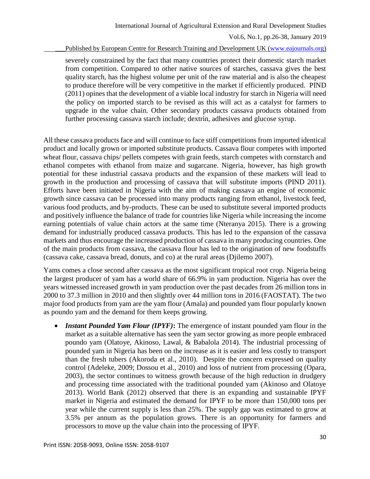Published by European Centre for Research Training and Development UK [\(www.eajournals.org\)](http://www.eajournals.org/)

severely constrained by the fact that many countries protect their domestic starch market from competition. Compared to other native sources of starches, cassava gives the best quality starch, has the highest volume per unit of the raw material and is also the cheapest to produce therefore will be very competitive in the market if efficiently produced. PIND (2011) opines that the development of a viable local industry for starch in Nigeria will need the policy on imported starch to be revised as this will act as a catalyst for farmers to upgrade in the value chain. Other secondary products cassava products obtained from further processing cassava starch include; dextrin, adhesives and glucose syrup.

All these cassava products face and will continue to face stiff competitions from imported identical product and locally grown or imported substitute products. Cassava flour competes with imported wheat flour, cassava chips/ pellets competes with grain feeds, starch competes with cornstarch and ethanol competes with ethanol from maize and sugarcane. Nigeria, however, has high growth potential for these industrial cassava products and the expansion of these markets will lead to growth in the production and processing of cassava that will substitute imports (PIND 2011). Efforts have been initiated in Nigeria with the aim of making cassava an engine of economic growth since cassava can be processed into many products ranging from ethanol, livestock feed, various food products, and by-products. These can be used to substitute several imported products and positively influence the balance of trade for countries like Nigeria while increasing the income earning potentials of value chain actors at the same time (Nteranya 2015). There is a growing demand for industrially produced cassava products. This has led to the expansion of the cassava markets and thus encourage the increased production of cassava in many producing countries. One of the main products from cassava, the cassava flour has led to the origination of new foodstuffs (cassava cake, cassava bread, donuts, and co) at the rural areas (Djilemo 2007).

Yams comes a close second after cassava as the most significant tropical root crop. Nigeria being the largest producer of yam has a world share of 66.9% in yam production. Nigeria has over the years witnessed increased growth in yam production over the past decades from 26 million tons in 2000 to 37.3 million in 2010 and then slightly over 44 million tons in 2016 (FAOSTAT). The two major food products from yam are the yam flour (Amala) and pounded yam flour popularly known as poundo yam and the demand for them keeps growing.

• *Instant Pounded Yam Flour (IPYF)*: The emergence of instant pounded yam flour in the market as a suitable alternative has seen the yam sector growing as more people embraced poundo yam (Olatoye, Akinoso, Lawal, & Babalola 2014). The industrial processing of pounded yam in Nigeria has been on the increase as it is easier and less costly to transport than the fresh tubers (Akoroda et al., 2010). Despite the concern expressed on quality control (Adeleke, 2009; Dossou et al., 2010) and loss of nutrient from processing (Opara, 2003), the sector continues to witness growth because of the high reduction in drudgery and processing time associated with the traditional pounded yam (Akinoso and Olatoye 2013). World Bank (2012) observed that there is an expanding and sustainable IPYF market in Nigeria and estimated the demand for IPYF to be more than 150,000 tons per year while the current supply is less than 25%. The supply gap was estimated to grow at 3.5% per annum as the population grows. There is an opportunity for farmers and processors to move up the value chain into the processing of IPYF.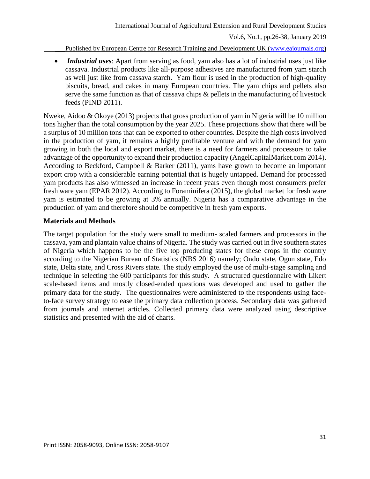Published by European Centre for Research Training and Development UK [\(www.eajournals.org\)](http://www.eajournals.org/)

 *Industrial uses*: Apart from serving as food, yam also has a lot of industrial uses just like cassava. Industrial products like all-purpose adhesives are manufactured from yam starch as well just like from cassava starch. Yam flour is used in the production of high-quality biscuits, bread, and cakes in many European countries. The yam chips and pellets also serve the same function as that of cassava chips & pellets in the manufacturing of livestock feeds (PIND 2011).

Nweke, Aidoo & Okoye (2013) projects that gross production of yam in Nigeria will be 10 million tons higher than the total consumption by the year 2025. These projections show that there will be a surplus of 10 million tons that can be exported to other countries. Despite the high costs involved in the production of yam, it remains a highly profitable venture and with the demand for yam growing in both the local and export market, there is a need for farmers and processors to take advantage of the opportunity to expand their production capacity (AngelCapitalMarket.com 2014). According to Beckford, Campbell & Barker (2011), yams have grown to become an important export crop with a considerable earning potential that is hugely untapped. Demand for processed yam products has also witnessed an increase in recent years even though most consumers prefer fresh ware yam (EPAR 2012). According to Foraminifera (2015), the global market for fresh ware yam is estimated to be growing at 3% annually. Nigeria has a comparative advantage in the production of yam and therefore should be competitive in fresh yam exports.

## **Materials and Methods**

The target population for the study were small to medium- scaled farmers and processors in the cassava, yam and plantain value chains of Nigeria. The study was carried out in five southern states of Nigeria which happens to be the five top producing states for these crops in the country according to the Nigerian Bureau of Statistics (NBS 2016) namely; Ondo state, Ogun state, Edo state, Delta state, and Cross Rivers state. The study employed the use of multi-stage sampling and technique in selecting the 600 participants for this study. A structured questionnaire with Likert scale-based items and mostly closed-ended questions was developed and used to gather the primary data for the study. The questionnaires were administered to the respondents using faceto-face survey strategy to ease the primary data collection process. Secondary data was gathered from journals and internet articles. Collected primary data were analyzed using descriptive statistics and presented with the aid of charts.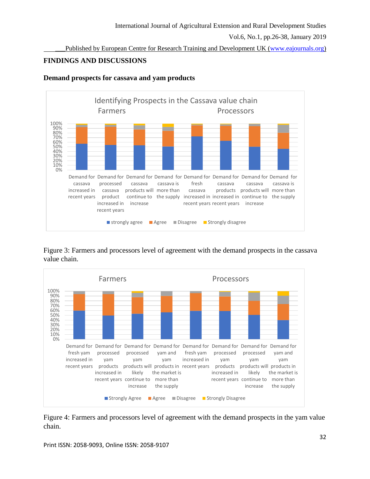Published by European Centre for Research Training and Development UK [\(www.eajournals.org\)](http://www.eajournals.org/)

# **FINDINGS AND DISCUSSIONS**



### **Demand prospects for cassava and yam products**

Figure 3: Farmers and processors level of agreement with the demand prospects in the cassava value chain.



Figure 4: Farmers and processors level of agreement with the demand prospects in the yam value chain.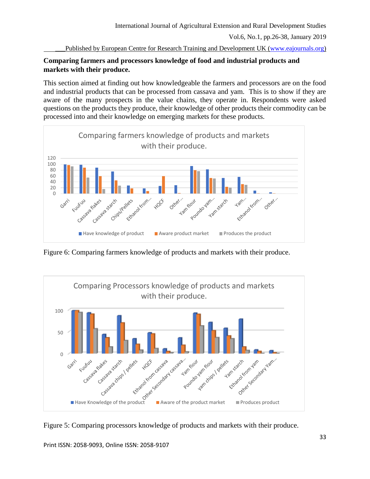Published by European Centre for Research Training and Development UK [\(www.eajournals.org\)](http://www.eajournals.org/)

## **Comparing farmers and processors knowledge of food and industrial products and markets with their produce.**

This section aimed at finding out how knowledgeable the farmers and processors are on the food and industrial products that can be processed from cassava and yam. This is to show if they are aware of the many prospects in the value chains, they operate in. Respondents were asked questions on the products they produce, their knowledge of other products their commodity can be processed into and their knowledge on emerging markets for these products.



Figure 6: Comparing farmers knowledge of products and markets with their produce.



Figure 5: Comparing processors knowledge of products and markets with their produce.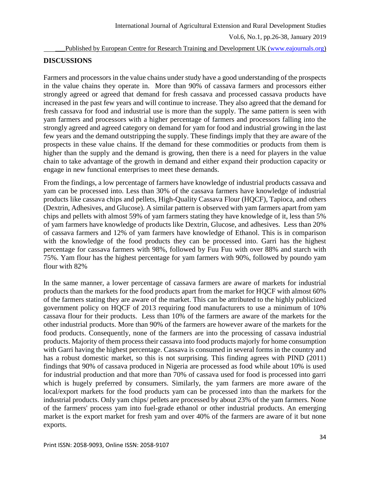### Published by European Centre for Research Training and Development UK [\(www.eajournals.org\)](http://www.eajournals.org/)

## **DISCUSSIONS**

Farmers and processors in the value chains under study have a good understanding of the prospects in the value chains they operate in. More than 90% of cassava farmers and processors either strongly agreed or agreed that demand for fresh cassava and processed cassava products have increased in the past few years and will continue to increase. They also agreed that the demand for fresh cassava for food and industrial use is more than the supply. The same pattern is seen with yam farmers and processors with a higher percentage of farmers and processors falling into the strongly agreed and agreed category on demand for yam for food and industrial growing in the last few years and the demand outstripping the supply. These findings imply that they are aware of the prospects in these value chains. If the demand for these commodities or products from them is higher than the supply and the demand is growing, then there is a need for players in the value chain to take advantage of the growth in demand and either expand their production capacity or engage in new functional enterprises to meet these demands.

From the findings, a low percentage of farmers have knowledge of industrial products cassava and yam can be processed into. Less than 30% of the cassava farmers have knowledge of industrial products like cassava chips and pellets, High-Quality Cassava Flour (HQCF), Tapioca, and others (Dextrin, Adhesives, and Glucose). A similar pattern is observed with yam farmers apart from yam chips and pellets with almost 59% of yam farmers stating they have knowledge of it, less than 5% of yam farmers have knowledge of products like Dextrin, Glucose, and adhesives. Less than 20% of cassava farmers and 12% of yam farmers have knowledge of Ethanol. This is in comparison with the knowledge of the food products they can be processed into. Garri has the highest percentage for cassava farmers with 98%, followed by Fuu Fuu with over 88% and starch with 75%. Yam flour has the highest percentage for yam farmers with 90%, followed by poundo yam flour with 82%

In the same manner, a lower percentage of cassava farmers are aware of markets for industrial products than the markets for the food products apart from the market for HQCF with almost 60% of the farmers stating they are aware of the market. This can be attributed to the highly publicized government policy on HQCF of 2013 requiring food manufacturers to use a minimum of 10% cassava flour for their products. Less than 10% of the farmers are aware of the markets for the other industrial products. More than 90% of the farmers are however aware of the markets for the food products. Consequently, none of the farmers are into the processing of cassava industrial products. Majority of them process their cassava into food products majorly for home consumption with Garri having the highest percentage. Cassava is consumed in several forms in the country and has a robust domestic market, so this is not surprising. This finding agrees with PIND (2011) findings that 90% of cassava produced in Nigeria are processed as food while about 10% is used for industrial production and that more than 70% of cassava used for food is processed into garri which is hugely preferred by consumers. Similarly, the yam farmers are more aware of the local/export markets for the food products yam can be processed into than the markets for the industrial products. Only yam chips/ pellets are processed by about 23% of the yam farmers. None of the farmers' process yam into fuel-grade ethanol or other industrial products. An emerging market is the export market for fresh yam and over 40% of the farmers are aware of it but none exports.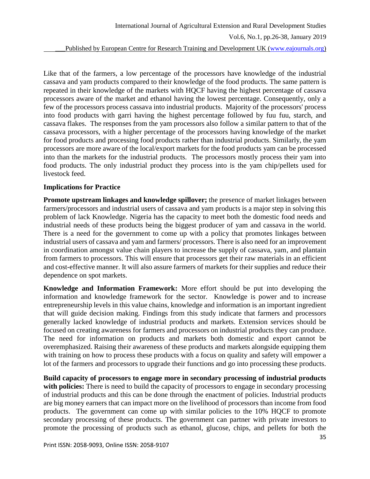Published by European Centre for Research Training and Development UK [\(www.eajournals.org\)](http://www.eajournals.org/)

Like that of the farmers, a low percentage of the processors have knowledge of the industrial cassava and yam products compared to their knowledge of the food products. The same pattern is repeated in their knowledge of the markets with HQCF having the highest percentage of cassava processors aware of the market and ethanol having the lowest percentage. Consequently, only a few of the processors process cassava into industrial products. Majority of the processors' process into food products with garri having the highest percentage followed by fuu fuu, starch, and cassava flakes. The responses from the yam processors also follow a similar pattern to that of the cassava processors, with a higher percentage of the processors having knowledge of the market for food products and processing food products rather than industrial products. Similarly, the yam processors are more aware of the local/export markets for the food products yam can be processed into than the markets for the industrial products. The processors mostly process their yam into food products. The only industrial product they process into is the yam chip/pellets used for livestock feed.

### **Implications for Practice**

**Promote upstream linkages and knowledge spillover;** the presence of market linkages between farmers/processors and industrial users of cassava and yam products is a major step in solving this problem of lack Knowledge. Nigeria has the capacity to meet both the domestic food needs and industrial needs of these products being the biggest producer of yam and cassava in the world. There is a need for the government to come up with a policy that promotes linkages between industrial users of cassava and yam and farmers/ processors. There is also need for an improvement in coordination amongst value chain players to increase the supply of cassava, yam, and plantain from farmers to processors. This will ensure that processors get their raw materials in an efficient and cost-effective manner. It will also assure farmers of markets for their supplies and reduce their dependence on spot markets.

**Knowledge and Information Framework:** More effort should be put into developing the information and knowledge framework for the sector. Knowledge is power and to increase entrepreneurship levels in this value chains, knowledge and information is an important ingredient that will guide decision making. Findings from this study indicate that farmers and processors generally lacked knowledge of industrial products and markets. Extension services should be focused on creating awareness for farmers and processors on industrial products they can produce. The need for information on products and markets both domestic and export cannot be overemphasized. Raising their awareness of these products and markets alongside equipping them with training on how to process these products with a focus on quality and safety will empower a lot of the farmers and processors to upgrade their functions and go into processing these products.

**Build capacity of processors to engage more in secondary processing of industrial products**  with policies: There is need to build the capacity of processors to engage in secondary processing of industrial products and this can be done through the enactment of policies. Industrial products are big money earners that can impact more on the livelihood of processors than income from food products. The government can come up with similar policies to the 10% HQCF to promote secondary processing of these products. The government can partner with private investors to promote the processing of products such as ethanol, glucose, chips, and pellets for both the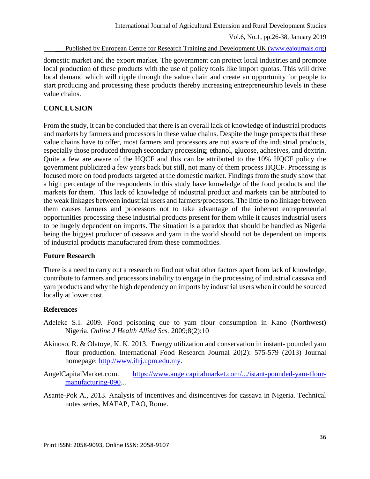### Published by European Centre for Research Training and Development UK [\(www.eajournals.org\)](http://www.eajournals.org/)

domestic market and the export market. The government can protect local industries and promote local production of these products with the use of policy tools like import quotas. This will drive local demand which will ripple through the value chain and create an opportunity for people to start producing and processing these products thereby increasing entrepreneurship levels in these value chains.

# **CONCLUSION**

From the study, it can be concluded that there is an overall lack of knowledge of industrial products and markets by farmers and processors in these value chains. Despite the huge prospects that these value chains have to offer, most farmers and processors are not aware of the industrial products, especially those produced through secondary processing; ethanol, glucose, adhesives, and dextrin. Quite a few are aware of the HQCF and this can be attributed to the 10% HQCF policy the government publicized a few years back but still, not many of them process HQCF. Processing is focused more on food products targeted at the domestic market. Findings from the study show that a high percentage of the respondents in this study have knowledge of the food products and the markets for them. This lack of knowledge of industrial product and markets can be attributed to the weak linkages between industrial users and farmers/processors. The little to no linkage between them causes farmers and processors not to take advantage of the inherent entrepreneurial opportunities processing these industrial products present for them while it causes industrial users to be hugely dependent on imports. The situation is a paradox that should be handled as Nigeria being the biggest producer of cassava and yam in the world should not be dependent on imports of industrial products manufactured from these commodities.

# **Future Research**

There is a need to carry out a research to find out what other factors apart from lack of knowledge, contribute to farmers and processors inability to engage in the processing of industrial cassava and yam products and why the high dependency on imports by industrial users when it could be sourced locally at lower cost.

# **References**

- Adeleke S.I. 2009. Food poisoning due to yam flour consumption in Kano (Northwest) Nigeria. *Online J Health Allied Scs.* 2009;8(2):10
- Akinoso, R. & Olatoye, K. K. 2013. Energy utilization and conservation in instant- pounded yam flour production. International Food Research Journal 20(2): 575-579 (2013) Journal homepage: [http://www.ifrj.upm.edu.my.](http://www.ifrj.upm.edu.my/)
- AngelCapitalMarket.com. [https://www.angelcapitalmarket.com/.../istant-pounded-yam-flour](https://www.angelcapitalmarket.com/.../istant-pounded-yam-flour-manufacturing-090)[manufacturing-090.](https://www.angelcapitalmarket.com/.../istant-pounded-yam-flour-manufacturing-090)..
- Asante-Pok A., 2013. Analysis of incentives and disincentives for cassava in Nigeria. Technical notes series, MAFAP, FAO, Rome.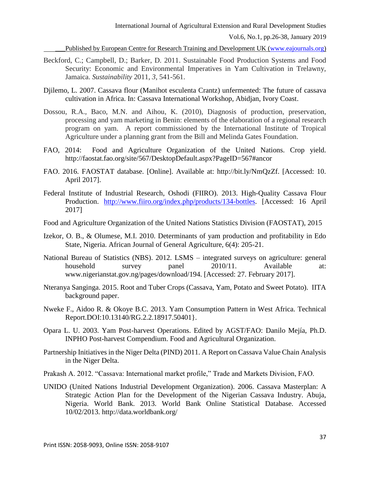Published by European Centre for Research Training and Development UK [\(www.eajournals.org\)](http://www.eajournals.org/)

- Beckford, C.; Campbell, D.; Barker, D. 2011. Sustainable Food Production Systems and Food Security: Economic and Environmental Imperatives in Yam Cultivation in Trelawny, Jamaica. *Sustainability* 2011, *3*, 541-561.
- Djilemo, L. 2007. Cassava flour (Manihot esculenta Crantz) unfermented: The future of cassava cultivation in Africa. In: Cassava International Workshop, Abidjan, Ivory Coast.
- Dossou, R.A., Baco, M.N. and Aihou, K. (2010), Diagnosis of production, preservation, processing and yam marketing in Benin: elements of the elaboration of a regional research program on yam. A report commissioned by the International Institute of Tropical Agriculture under a planning grant from the Bill and Melinda Gates Foundation.
- FAO, 2014: Food and Agriculture Organization of the United Nations. Crop yield. http://faostat.fao.org/site/567/DesktopDefault.aspx?PageID=567#ancor
- FAO. 2016. FAOSTAT database. [Online]. Available at: http://bit.ly/NmQzZf. [Accessed: 10. April 2017].
- Federal Institute of Industrial Research, Oshodi (FIIRO). 2013. High-Quality Cassava Flour Production. [http://www.fiiro.org/index.php/products/134-bottles.](http://www.fiiro.org/index.php/products/134-bottles) [Accessed: 16 April 2017]
- Food and Agriculture Organization of the United Nations Statistics Division (FAOSTAT), 2015
- Izekor, O. B., & Olumese, M.I. 2010. Determinants of yam production and profitability in Edo State, Nigeria. African Journal of General Agriculture, 6(4): 205-21.
- National Bureau of Statistics (NBS). 2012. LSMS integrated surveys on agriculture: general household survey panel  $2010/11$ . Available at: www.nigerianstat.gov.ng/pages/download/194. [Accessed: 27. February 2017].
- Nteranya Sanginga. 2015. Root and Tuber Crops (Cassava, Yam, Potato and Sweet Potato). IITA background paper.
- Nweke F., Aidoo R. & Okoye B.C. 2013. Yam Consumption Pattern in West Africa. Technical Report.DOI:10.13140/RG.2.2.18917.50401}.
- Opara L. U. 2003. Yam Post-harvest Operations. Edited by AGST/FAO: Danilo Mejía, Ph.D. INPHO Post-harvest Compendium. Food and Agricultural Organization.
- Partnership Initiatives in the Niger Delta (PIND) 2011. A Report on Cassava Value Chain Analysis in the Niger Delta.
- Prakash A. 2012. "Cassava: International market profile," Trade and Markets Division, FAO.
- UNIDO (United Nations Industrial Development Organization). 2006. Cassava Masterplan: A Strategic Action Plan for the Development of the Nigerian Cassava Industry. Abuja, Nigeria. World Bank. 2013. World Bank Online Statistical Database. Accessed 10/02/2013. http://data.worldbank.org/